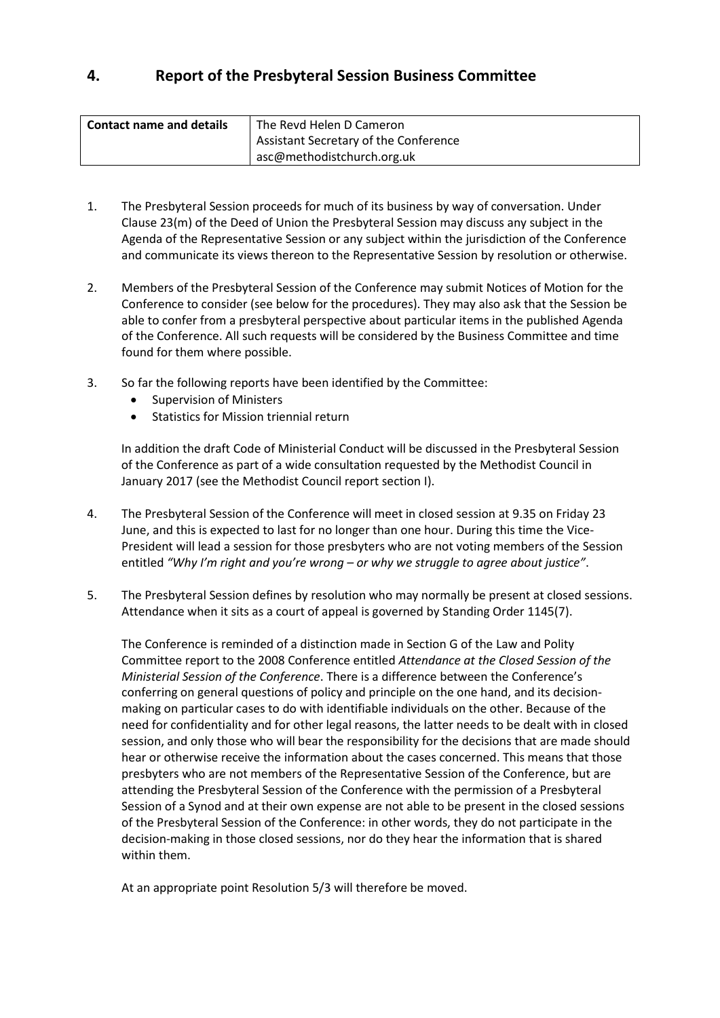# **4. Report of the Presbyteral Session Business Committee**

| <b>Contact name and details</b> | The Revd Helen D Cameron              |
|---------------------------------|---------------------------------------|
|                                 | Assistant Secretary of the Conference |
|                                 | asc@methodistchurch.org.uk            |

- 1. The Presbyteral Session proceeds for much of its business by way of conversation. Under Clause 23(m) of the Deed of Union the Presbyteral Session may discuss any subject in the Agenda of the Representative Session or any subject within the jurisdiction of the Conference and communicate its views thereon to the Representative Session by resolution or otherwise.
- 2. Members of the Presbyteral Session of the Conference may submit Notices of Motion for the Conference to consider (see below for the procedures). They may also ask that the Session be able to confer from a presbyteral perspective about particular items in the published Agenda of the Conference. All such requests will be considered by the Business Committee and time found for them where possible.
- 3. So far the following reports have been identified by the Committee:
	- Supervision of Ministers
	- **•** Statistics for Mission triennial return

In addition the draft Code of Ministerial Conduct will be discussed in the Presbyteral Session of the Conference as part of a wide consultation requested by the Methodist Council in January 2017 (see the Methodist Council report section I).

- 4. The Presbyteral Session of the Conference will meet in closed session at 9.35 on Friday 23 June, and this is expected to last for no longer than one hour. During this time the Vice-President will lead a session for those presbyters who are not voting members of the Session entitled *"Why I'm right and you're wrong – or why we struggle to agree about justice"*.
- 5. The Presbyteral Session defines by resolution who may normally be present at closed sessions. Attendance when it sits as a court of appeal is governed by Standing Order 1145(7).

The Conference is reminded of a distinction made in Section G of the Law and Polity Committee report to the 2008 Conference entitled *Attendance at the Closed Session of the Ministerial Session of the Conference*. There is a difference between the Conference's conferring on general questions of policy and principle on the one hand, and its decisionmaking on particular cases to do with identifiable individuals on the other. Because of the need for confidentiality and for other legal reasons, the latter needs to be dealt with in closed session, and only those who will bear the responsibility for the decisions that are made should hear or otherwise receive the information about the cases concerned. This means that those presbyters who are not members of the Representative Session of the Conference, but are attending the Presbyteral Session of the Conference with the permission of a Presbyteral Session of a Synod and at their own expense are not able to be present in the closed sessions of the Presbyteral Session of the Conference: in other words, they do not participate in the decision-making in those closed sessions, nor do they hear the information that is shared within them.

At an appropriate point Resolution 5/3 will therefore be moved.